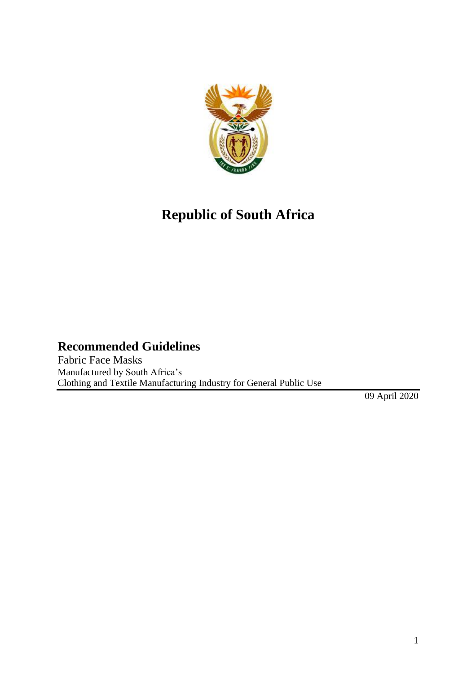

# **Republic of South Africa**

#### **Recommended Guidelines**

Fabric Face Masks Manufactured by South Africa's Clothing and Textile Manufacturing Industry for General Public Use

09 April 2020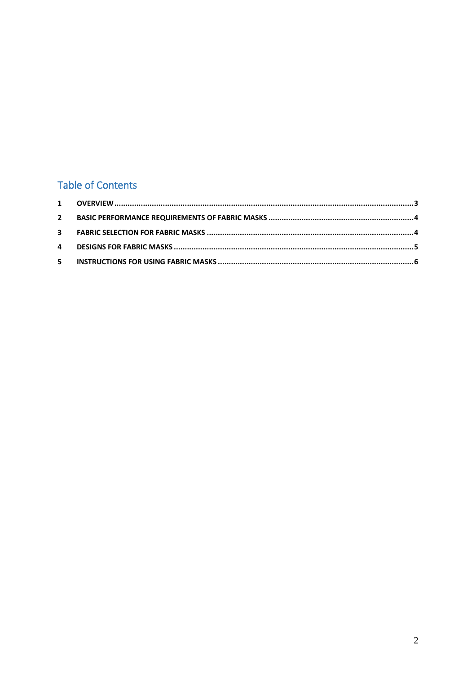## **Table of Contents**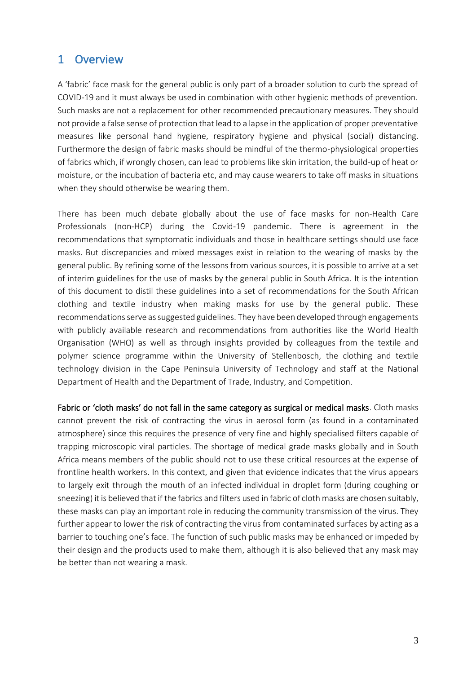#### <span id="page-2-0"></span>1 Overview

A 'fabric' face mask for the general public is only part of a broader solution to curb the spread of COVID-19 and it must always be used in combination with other hygienic methods of prevention. Such masks are not a replacement for other recommended precautionary measures. They should not provide a false sense of protection that lead to a lapse in the application of proper preventative measures like personal hand hygiene, respiratory hygiene and physical (social) distancing. Furthermore the design of fabric masks should be mindful of the thermo-physiological properties of fabrics which, if wrongly chosen, can lead to problems like skin irritation, the build-up of heat or moisture, or the incubation of bacteria etc, and may cause wearers to take off masks in situations when they should otherwise be wearing them.

There has been much debate globally about the use of face masks for non-Health Care Professionals (non-HCP) during the Covid-19 pandemic. There is agreement in the recommendations that symptomatic individuals and those in healthcare settings should use face masks. But discrepancies and mixed messages exist in relation to the wearing of masks by the general public. By refining some of the lessons from various sources, it is possible to arrive at a set of interim guidelines for the use of masks by the general public in South Africa. It is the intention of this document to distil these guidelines into a set of recommendations for the South African clothing and textile industry when making masks for use by the general public. These recommendations serve as suggested guidelines. They have been developed through engagements with publicly available research and recommendations from authorities like the World Health Organisation (WHO) as well as through insights provided by colleagues from the textile and polymer science programme within the University of Stellenbosch, the clothing and textile technology division in the Cape Peninsula University of Technology and staff at the National Department of Health and the Department of Trade, Industry, and Competition.

Fabric or 'cloth masks' do not fall in the same category as surgical or medical masks. Cloth masks cannot prevent the risk of contracting the virus in aerosol form (as found in a contaminated atmosphere) since this requires the presence of very fine and highly specialised filters capable of trapping microscopic viral particles. The shortage of medical grade masks globally and in South Africa means members of the public should not to use these critical resources at the expense of frontline health workers. In this context, and given that evidence indicates that the virus appears to largely exit through the mouth of an infected individual in droplet form (during coughing or sneezing) it is believed that if the fabrics and filters used in fabric of cloth masks are chosen suitably, these masks can play an important role in reducing the community transmission of the virus. They further appear to lower the risk of contracting the virus from contaminated surfaces by acting as a barrier to touching one's face. The function of such public masks may be enhanced or impeded by their design and the products used to make them, although it is also believed that any mask may be better than not wearing a mask.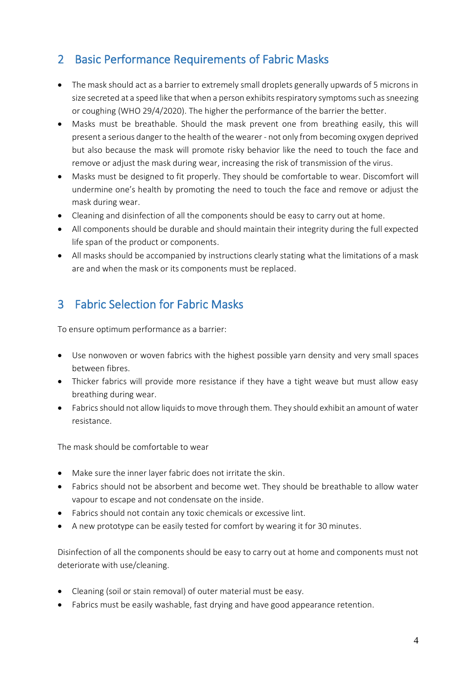## <span id="page-3-0"></span>2 Basic Performance Requirements of Fabric Masks

- The mask should act as a barrier to extremely small droplets generally upwards of 5 microns in size secreted at a speed like that when a person exhibits respiratory symptoms such as sneezing or coughing (WHO 29/4/2020). The higher the performance of the barrier the better.
- Masks must be breathable. Should the mask prevent one from breathing easily, this will present a serious danger to the health of the wearer - not only from becoming oxygen deprived but also because the mask will promote risky behavior like the need to touch the face and remove or adjust the mask during wear, increasing the risk of transmission of the virus.
- Masks must be designed to fit properly. They should be comfortable to wear. Discomfort will undermine one's health by promoting the need to touch the face and remove or adjust the mask during wear.
- Cleaning and disinfection of all the components should be easy to carry out at home.
- All components should be durable and should maintain their integrity during the full expected life span of the product or components.
- All masks should be accompanied by instructions clearly stating what the limitations of a mask are and when the mask or its components must be replaced.

## <span id="page-3-1"></span>3 Fabric Selection for Fabric Masks

To ensure optimum performance as a barrier:

- Use nonwoven or woven fabrics with the highest possible yarn density and very small spaces between fibres.
- Thicker fabrics will provide more resistance if they have a tight weave but must allow easy breathing during wear.
- Fabrics should not allow liquids to move through them. They should exhibit an amount of water resistance.

The mask should be comfortable to wear

- Make sure the inner layer fabric does not irritate the skin.
- Fabrics should not be absorbent and become wet. They should be breathable to allow water vapour to escape and not condensate on the inside.
- Fabrics should not contain any toxic chemicals or excessive lint.
- A new prototype can be easily tested for comfort by wearing it for 30 minutes.

Disinfection of all the components should be easy to carry out at home and components must not deteriorate with use/cleaning.

- Cleaning (soil or stain removal) of outer material must be easy.
- Fabrics must be easily washable, fast drying and have good appearance retention.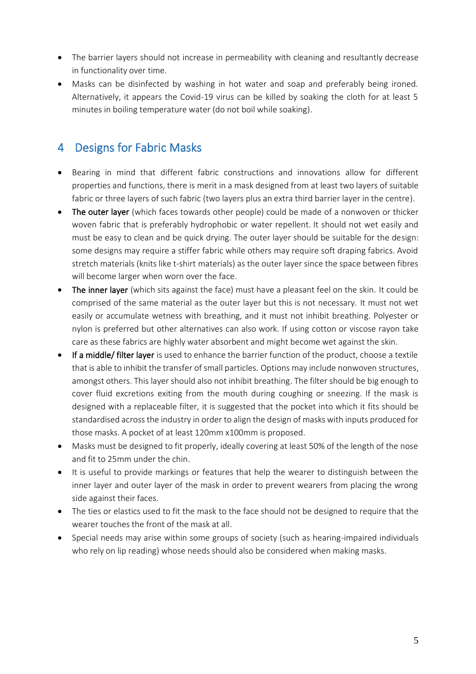- The barrier layers should not increase in permeability with cleaning and resultantly decrease in functionality over time.
- Masks can be disinfected by washing in hot water and soap and preferably being ironed. Alternatively, it appears the Covid-19 virus can be killed by soaking the cloth for at least 5 minutes in boiling temperature water (do not boil while soaking).

#### <span id="page-4-0"></span>4 Designs for Fabric Masks

- Bearing in mind that different fabric constructions and innovations allow for different properties and functions, there is merit in a mask designed from at least two layers of suitable fabric or three layers of such fabric (two layers plus an extra third barrier layer in the centre).
- The outer layer (which faces towards other people) could be made of a nonwoven or thicker woven fabric that is preferably hydrophobic or water repellent. It should not wet easily and must be easy to clean and be quick drying. The outer layer should be suitable for the design: some designs may require a stiffer fabric while others may require soft draping fabrics. Avoid stretch materials (knits like t-shirt materials) as the outer layer since the space between fibres will become larger when worn over the face.
- The inner layer (which sits against the face) must have a pleasant feel on the skin. It could be comprised of the same material as the outer layer but this is not necessary. It must not wet easily or accumulate wetness with breathing, and it must not inhibit breathing. Polyester or nylon is preferred but other alternatives can also work. If using cotton or viscose rayon take care as these fabrics are highly water absorbent and might become wet against the skin.
- If a middle/ filter layer is used to enhance the barrier function of the product, choose a textile that is able to inhibit the transfer of small particles. Options may include nonwoven structures, amongst others. This layer should also not inhibit breathing. The filter should be big enough to cover fluid excretions exiting from the mouth during coughing or sneezing. If the mask is designed with a replaceable filter, it is suggested that the pocket into which it fits should be standardised across the industry in order to align the design of masks with inputs produced for those masks. A pocket of at least 120mm x100mm is proposed.
- Masks must be designed to fit properly, ideally covering at least 50% of the length of the nose and fit to 25mm under the chin.
- It is useful to provide markings or features that help the wearer to distinguish between the inner layer and outer layer of the mask in order to prevent wearers from placing the wrong side against their faces.
- The ties or elastics used to fit the mask to the face should not be designed to require that the wearer touches the front of the mask at all.
- Special needs may arise within some groups of society (such as hearing-impaired individuals who rely on lip reading) whose needs should also be considered when making masks.